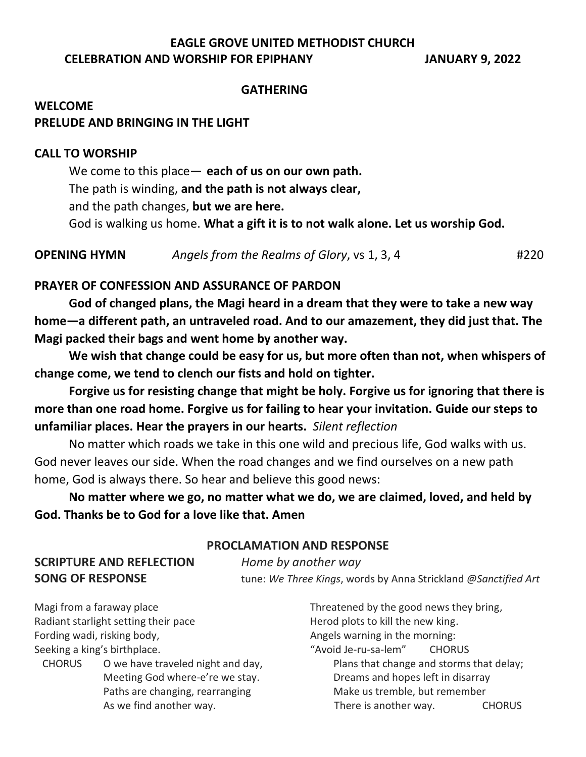# **EAGLE GROVE UNITED METHODIST CHURCH CELEBRATION AND WORSHIP FOR EPIPHANY JANUARY 9, 2022**

#### **GATHERING**

# **WELCOME PRELUDE AND BRINGING IN THE LIGHT**

#### **CALL TO WORSHIP**

We come to this place— **each of us on our own path.** The path is winding, **and the path is not always clear,**  and the path changes, **but we are here.** God is walking us home. **What a gift it is to not walk alone. Let us worship God.**

**OPENING HYMN** *Angels from the Realms of Glory*, vs 1, 3, 4 #220

### **PRAYER OF CONFESSION AND ASSURANCE OF PARDON**

**God of changed plans, the Magi heard in a dream that they were to take a new way home—a different path, an untraveled road. And to our amazement, they did just that. The Magi packed their bags and went home by another way.**

**We wish that change could be easy for us, but more often than not, when whispers of change come, we tend to clench our fists and hold on tighter.**

**Forgive us for resisting change that might be holy. Forgive us for ignoring that there is more than one road home. Forgive us for failing to hear your invitation. Guide our steps to unfamiliar places. Hear the prayers in our hearts.** *Silent reflection*

No matter which roads we take in this one wild and precious life, God walks with us. God never leaves our side. When the road changes and we find ourselves on a new path home, God is always there. So hear and believe this good news:

**No matter where we go, no matter what we do, we are claimed, loved, and held by God. Thanks be to God for a love like that. Amen**

#### **PROCLAMATION AND RESPONSE**

**SCRIPTURE AND REFLECTION** *Home by another way* **SONG OF RESPONSE** tune: *We Three Kings*, words by Anna Strickland *@Sanctified Art*

Magi from a faraway place Maging the Threatened by the good news they bring, Radiant starlight setting their pace Herod plots to kill the new king. Fording wadi, risking body, The morning in the morning: Seeking a king's birthplace. The same section of "Avoid Je-ru-sa-lem" CHORUS

CHORUS O we have traveled night and day, Plans that change and storms that delay;

Meeting God where-e're we stay. Dreams and hopes left in disarray Paths are changing, rearranging Make us tremble, but remember As we find another way. There is another way. CHORUS